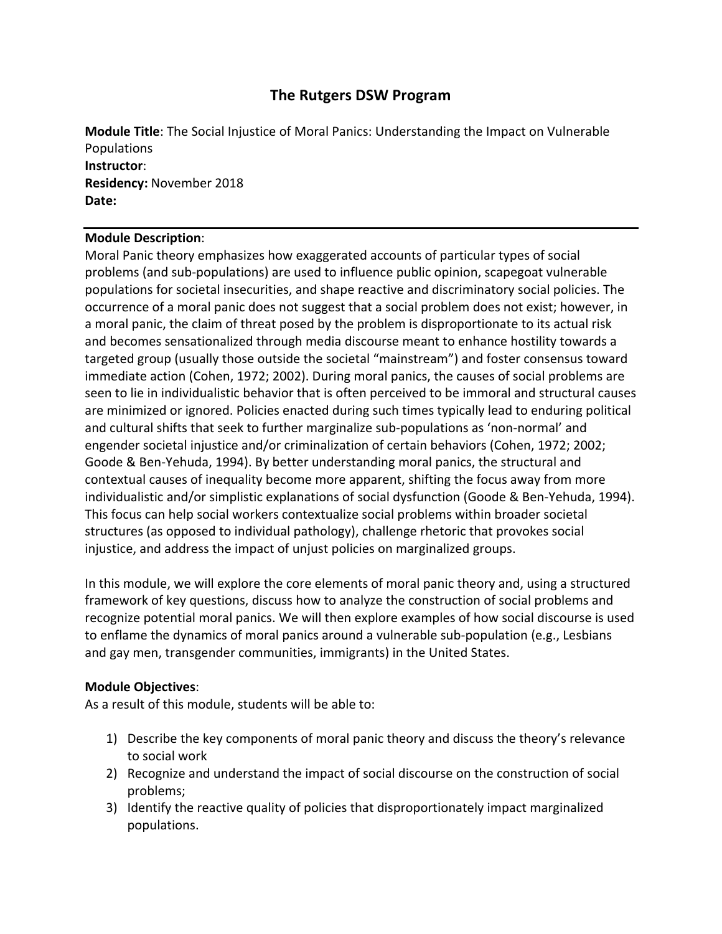# **The Rutgers DSW Program**

**Module Title**: The Social Injustice of Moral Panics: Understanding the Impact on Vulnerable Populations **Instructor**: **Residency:** November 2018 **Date:**

### **Module Description**:

Moral Panic theory emphasizes how exaggerated accounts of particular types of social problems (and sub‐populations) are used to influence public opinion, scapegoat vulnerable populations for societal insecurities, and shape reactive and discriminatory social policies. The occurrence of a moral panic does not suggest that a social problem does not exist; however, in a moral panic, the claim of threat posed by the problem is disproportionate to its actual risk and becomes sensationalized through media discourse meant to enhance hostility towards a targeted group (usually those outside the societal "mainstream") and foster consensus toward immediate action (Cohen, 1972; 2002). During moral panics, the causes of social problems are seen to lie in individualistic behavior that is often perceived to be immoral and structural causes are minimized or ignored. Policies enacted during such times typically lead to enduring political and cultural shifts that seek to further marginalize sub‐populations as 'non‐normal' and engender societal injustice and/or criminalization of certain behaviors (Cohen, 1972; 2002; Goode & Ben‐Yehuda, 1994). By better understanding moral panics, the structural and contextual causes of inequality become more apparent, shifting the focus away from more individualistic and/or simplistic explanations of social dysfunction (Goode & Ben‐Yehuda, 1994). This focus can help social workers contextualize social problems within broader societal structures (as opposed to individual pathology), challenge rhetoric that provokes social injustice, and address the impact of unjust policies on marginalized groups.

In this module, we will explore the core elements of moral panic theory and, using a structured framework of key questions, discuss how to analyze the construction of social problems and recognize potential moral panics. We will then explore examples of how social discourse is used to enflame the dynamics of moral panics around a vulnerable sub‐population (e.g., Lesbians and gay men, transgender communities, immigrants) in the United States.

### **Module Objectives**:

As a result of this module, students will be able to:

- 1) Describe the key components of moral panic theory and discuss the theory's relevance to social work
- 2) Recognize and understand the impact of social discourse on the construction of social problems;
- 3) Identify the reactive quality of policies that disproportionately impact marginalized populations.